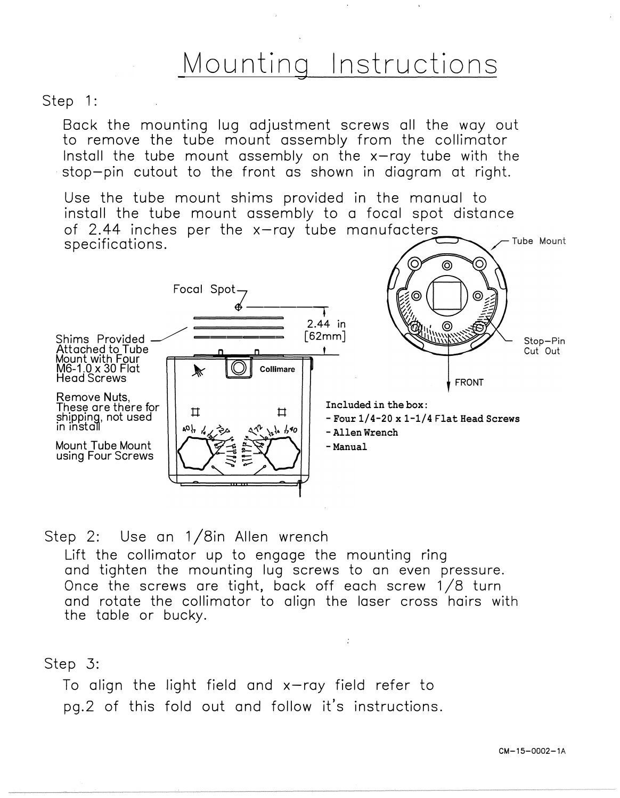## Mounting Instructions

## Step 1:

Back the mounting lug adjustment screws all the way out to remove the tube mount assembly from the collimator Install the tube mount assembly on the  $x$ -ray tube with the stop-pin cutout to the front as shown in diagram at right.

Use the tube mount shims provided in the manual to install the tube mount assembly to a focal spot distance of 2.44 inches per the  $x$ -ray tube manufacters Tube Mount specifications.



Step 2: Use an 1/8in Allen wrench

Lift the collimator up to engage the mounting ring and tighten the mounting lug screws to an even pressure. Once the screws are tight, back off each screw 1 /8 turn and rotate the collimator to align the laser cross hairs with the table or bucky.

## Step 3:

To align the light field and  $x$ -ray field refer to pg.2 of this fold out and follow it's instructions.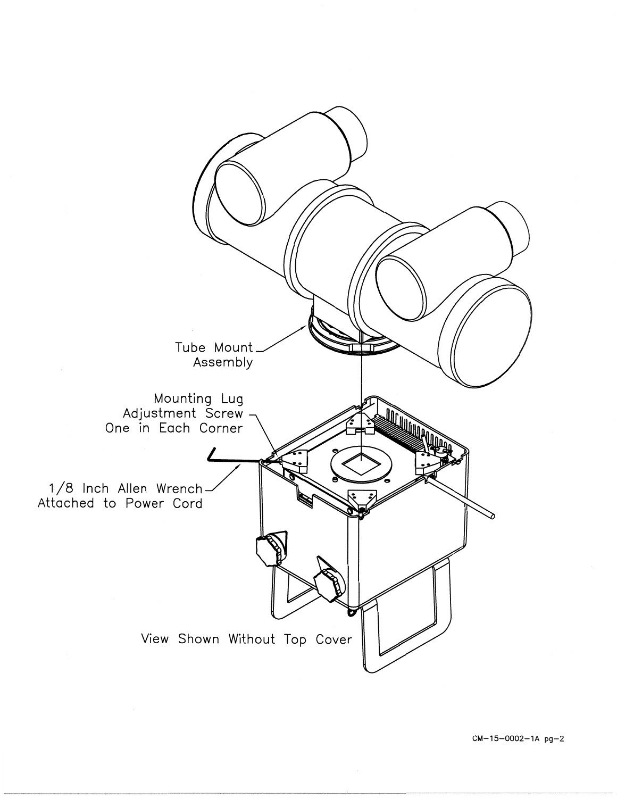